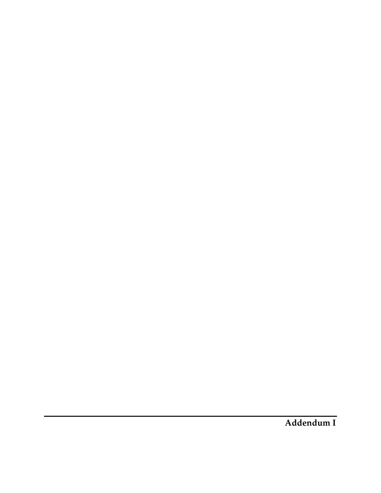**Addendum I**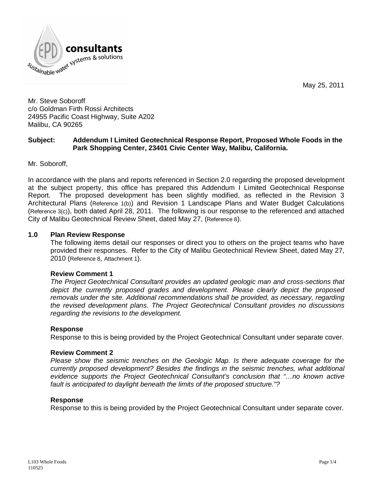

May 25, 2011

Mr. Steve Soboroff c/o Goldman Firth Rossi Architects 24955 Pacific Coast Highway, Suite A202 Malibu, CA 90265

# **Subject: Addendum I Limited Geotechnical Response Report, Proposed Whole Foods in the Park Shopping Center, 23401 Civic Center Way, Malibu, California.**

Mr. Soboroff,

In accordance with the plans and reports referenced in Section 2.0 regarding the proposed development at the subject property, this office has prepared this Addendum I Limited Geotechnical Response Report. The proposed development has been slightly modified, as reflected in the Revision 3 Architectural Plans (Reference 1(b)) and Revision 1 Landscape Plans and Water Budget Calculations (Reference 3(c)), both dated April 28, 2011. The following is our response to the referenced and attached City of Malibu Geotechnical Review Sheet, dated May 27, (Reference 8).

### **1.0 Plan Review Response**

The following items detail our responses or direct you to others on the project teams who have provided their responses. Refer to the City of Malibu Geotechnical Review Sheet, dated May 27, 2010 (Reference 8, Attachment 1).

#### **Review Comment 1**

*The Project Geotechnical Consultant provides an updated geologic man and cross-sections that depict the currently proposed grades and development. Please clearly depict the proposed removals under the site. Additional recommendations shall be provided, as necessary, regarding the revised development plans. The Project Geotechnical Consultant provides no discussions regarding the revisions to the development.*

#### **Response**

Response to this is being provided by the Project Geotechnical Consultant under separate cover.

#### **Review Comment 2**

*Please show the seismic trenches on the Geologic Map. Is there adequate coverage for the currently proposed development? Besides the findings in the seismic trenches, what additional evidence supports the Project Geotechnical Consultant's conclusion that "… no known active fault is anticipated to daylight beneath the limits of the proposed structure."?*

#### **Response**

Response to this is being provided by the Project Geotechnical Consultant under separate cover.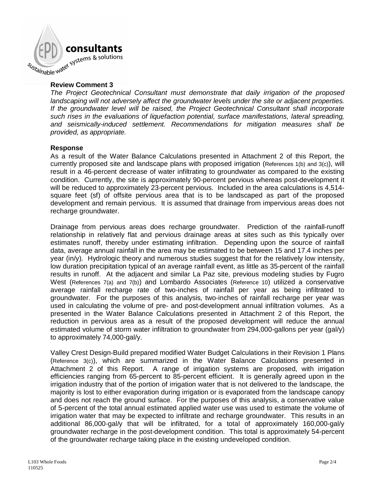

### **Review Comment 3**

*The Project Geotechnical Consultant must demonstrate that daily irrigation of the proposed landscaping will not adversely affect the groundwater levels under the site or adjacent properties. If the groundwater level will be raised, the Project Geotechnical Consultant shall incorporate such rises in the evaluations of liquefaction potential, surface manifestations, lateral spreading, and seismically-induced settlement. Recommendations for mitigation measures shall be provided, as appropriate.*

#### **Response**

As a result of the Water Balance Calculations presented in Attachment 2 of this Report, the currently proposed site and landscape plans with proposed irrigation (References 1(b) and 3(c)), will result in a 46-percent decrease of water infiltrating to groundwater as compared to the existing condition. Currently, the site is approximately 90-percent pervious whereas post-development it will be reduced to approximately 23-percent pervious. Included in the area calculations is 4,514 square feet (sf) of offsite pervious area that is to be landscaped as part of the proposed development and remain pervious. It is assumed that drainage from impervious areas does not recharge groundwater.

Drainage from pervious areas does recharge groundwater. Prediction of the rainfall-runoff relationship in relatively flat and pervious drainage areas at sites such as this typically over estimates runoff, thereby under estimating infiltration. Depending upon the source of rainfall data, average annual rainfall in the area may be estimated to be between 15 and 17.4 inches per year (in/y). Hydrologic theory and numerous studies suggest that for the relatively low intensity, low duration precipitation typical of an average rainfall event, as little as 35-percent of the rainfall results in runoff. At the adjacent and similar La Paz site, previous modeling studies by Fugro West (References 7(a) and 7(b)) and Lombardo Associates (Reference 10) utilized a conservative average rainfall recharge rate of two-inches of rainfall per year as being infiltrated to groundwater. For the purposes of this analysis, two-inches of rainfall recharge per year was used in calculating the volume of pre- and post-development annual infiltration volumes. As a presented in the Water Balance Calculations presented in Attachment 2 of this Report, the reduction in pervious area as a result of the proposed development will reduce the annual estimated volume of storm water infiltration to groundwater from 294,000-gallons per year (gal/y) to approximately 74,000-gal/y.

Valley Crest Design-Build prepared modified Water Budget Calculations in their Revision 1 Plans (Reference 3(c)), which are summarized in the Water Balance Calculations presented in Attachment 2 of this Report. A range of irrigation systems are proposed, with irrigation efficiencies ranging from 65-percent to 85-percent efficient. It is generally agreed upon in the irrigation industry that of the portion of irrigation water that is not delivered to the landscape, the majority is lost to either evaporation during irrigation or is evaporated from the landscape canopy and does not reach the ground surface. For the purposes of this analysis, a conservative value of 5-percent of the total annual estimated applied water use was used to estimate the volume of irrigation water that may be expected to infiltrate and recharge groundwater. This results in an additional 86,000-gal/y that will be infiltrated, for a total of approximately 160,000-gal/y groundwater recharge in the post-development condition. This total is approximately 54-percent of the groundwater recharge taking place in the existing undeveloped condition.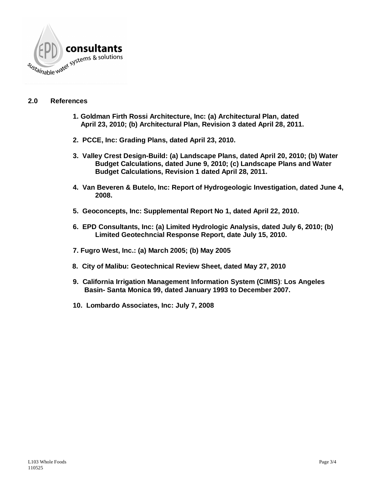

# **2.0 References**

- **1. Goldman Firth Rossi Architecture, Inc: (a) Architectural Plan, dated April 23, 2010; (b) Architectural Plan, Revision 3 dated April 28, 2011.**
- **2. PCCE, Inc: Grading Plans, dated April 23, 2010.**
- **3. Valley Crest Design-Build: (a) Landscape Plans, dated April 20, 2010; (b) Water Budget Calculations, dated June 9, 2010; (c) Landscape Plans and Water Budget Calculations, Revision 1 dated April 28, 2011.**
- **4. Van Beveren & Butelo, Inc: Report of Hydrogeologic Investigation, dated June 4, 2008.**
- **5. Geoconcepts, Inc: Supplemental Report No 1, dated April 22, 2010.**
- **6. EPD Consultants, Inc: (a) Limited Hydrologic Analysis, dated July 6, 2010; (b) Limited Geotechncial Response Report, date July 15, 2010.**
- **7. Fugro West, Inc.: (a) March 2005; (b) May 2005**
- **8. City of Malibu: Geotechnical Review Sheet, dated May 27, 2010**
- **9. California Irrigation Management Information System (CIMIS)**: **Los Angeles Basin- Santa Monica 99, dated January 1993 to December 2007.**
- **10. Lombardo Associates, Inc: July 7, 2008**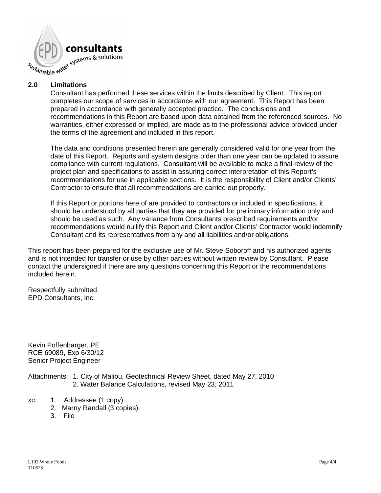

# **2.0 Limitations**

Consultant has performed these services within the limits described by Client. This report completes our scope of services in accordance with our agreement. This Report has been prepared in accordance with generally accepted practice. The conclusions and recommendations in this Report are based upon data obtained from the referenced sources. No warranties, either expressed or implied, are made as to the professional advice provided under the terms of the agreement and included in this report.

The data and conditions presented herein are generally considered valid for one year from the date of this Report. Reports and system designs older than one year can be updated to assure compliance with current regulations. Consultant will be available to make a final review of the project plan and specifications to assist in assuring correct interpretation of this Report's recommendations for use in applicable sections. It is the responsibility of Client and/or Clients' Contractor to ensure that all recommendations are carried out properly.

If this Report or portions here of are provided to contractors or included in specifications, it should be understood by all parties that they are provided for preliminary information only and should be used as such. Any variance from Consultants prescribed requirements and/or recommendations would nullify this Report and Client and/or Clients' Contractor would indemnify Consultant and its representatives from any and all liabilities and/or obligations.

This report has been prepared for the exclusive use of Mr. Steve Soboroff and his authorized agents and is not intended for transfer or use by other parties without written review by Consultant. Please contact the undersigned if there are any questions concerning this Report or the recommendations included herein.

Respectfully submitted, EPD Consultants, Inc.

Kevin Poffenbarger, PE RCE 69089, Exp 6/30/12 Senior Project Engineer

Attachments: 1. City of Malibu, Geotechnical Review Sheet, dated May 27, 2010 2. Water Balance Calculations, revised May 23, 2011

- xc: 1. Addressee (1 copy).
	- 2. Marny Randall (3 copies).
	- 3. File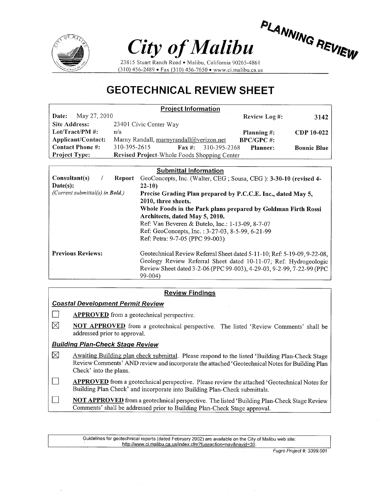

# City of Malibu

PLANNING REVIEW

23815 Stuart Ranch Road · Malibu, California 90265-4861  $(310)$  456-2489 • Fax (310) 456-7650 • www.ci.malibu.ca.us

# **GEOTECHNICAL REVIEW SHEET**

| <b>Project Information</b> |                                                             |                      |                    |  |  |  |  |  |  |
|----------------------------|-------------------------------------------------------------|----------------------|--------------------|--|--|--|--|--|--|
| May 27, 2010<br>Date:      |                                                             | <b>Review Log #:</b> | 3142               |  |  |  |  |  |  |
| Site Address:              | 23401 Civic Center Way                                      |                      |                    |  |  |  |  |  |  |
| Lot/Tract/PM $\#$ :        | n/a                                                         | Planning $\#$ :      | CDP 10-022         |  |  |  |  |  |  |
| Applicant/Contact:         | Marny Randall, marnyrandall@verizon.net                     | $BPC/GPC$ #:         |                    |  |  |  |  |  |  |
| <b>Contact Phone #:</b>    | 310-395-2615<br>$\mathbf{Fax} \; \text{#}:$<br>310-395-2368 | Planner:             | <b>Bonnie Blue</b> |  |  |  |  |  |  |
| <b>Project Type:</b>       | Revised Project-Whole Foods Shopping Center                 |                      |                    |  |  |  |  |  |  |

| <b>Submittal Information</b>            |                                                                          |  |  |  |  |  |  |
|-----------------------------------------|--------------------------------------------------------------------------|--|--|--|--|--|--|
| $Consider$<br><b>Report</b>             | GeoConcepts, Inc. (Walter, CEG; Sousa, CEG): 3-30-10 (revised 4-         |  |  |  |  |  |  |
| $\textbf{Date}(s):$                     | $22-10$                                                                  |  |  |  |  |  |  |
| (Current submittal(s) in <b>Bold.</b> ) | Precise Grading Plan prepared by P.C.C.E. Inc., dated May 5,             |  |  |  |  |  |  |
|                                         | 2010, three sheets.                                                      |  |  |  |  |  |  |
|                                         | Whole Foods in the Park plans prepared by Goldman Firth Rossi            |  |  |  |  |  |  |
|                                         | Architects, dated May 5, 2010.                                           |  |  |  |  |  |  |
|                                         | Ref: Van Beveren & Butelo, Inc.: 1-13-09, 8-7-07                         |  |  |  |  |  |  |
|                                         | Ref: GeoConcepts, Inc.: 3-27-03, 8-5-99, 6-21-99                         |  |  |  |  |  |  |
|                                         | Ref: Petra: 9-7-05 (PPC 99-003)                                          |  |  |  |  |  |  |
| <b>Previous Reviews:</b>                | Geotechnical Review Referral Sheet dated 5-11-10; Ref: 5-19-09, 9-22-08, |  |  |  |  |  |  |
|                                         | Geology Review Referral Sheet dated 10-11-07; Ref: Hydrogeologic         |  |  |  |  |  |  |
|                                         | Review Sheet dated 3-2-06 (PPC 99-003), 4-29-03, 9-2-99, 7-22-99 (PPC    |  |  |  |  |  |  |
|                                         | $99 - 004$                                                               |  |  |  |  |  |  |

#### **Review Findings**

**Coastal Development Permit Review** 

П **APPROVED** from a geotechnical perspective.

 $\boxtimes$ NOT APPROVED from a geotechnical perspective. The listed 'Review Comments' shall be addressed prior to approval.

#### **Building Plan-Check Stage Review**

 $\Box$ 

- ⊠ Awaiting Building plan check submittal. Please respond to the listed 'Building Plan-Check Stage Review Comments' AND review and incorporate the attached 'Geotechnical Notes for Building Plan Check' into the plans.
- $\Box$ **APPROVED** from a geotechnical perspective. Please review the attached 'Geotechnical Notes for Building Plan Check' and incorporate into Building Plan-Check submittals.

**NOT APPROVED** from a geotechnical perspective. The listed 'Building Plan-Check Stage Review Comments' shall be addressed prior to Building Plan-Check Stage approval.

Guidelines for geotechnical reports (dated February 2002) are available on the City of Malibu web site: http://www.ci.malibu.ca.us/index.cfm?fuseaction=nav&navid=30.

Fugro Project #: 3399.001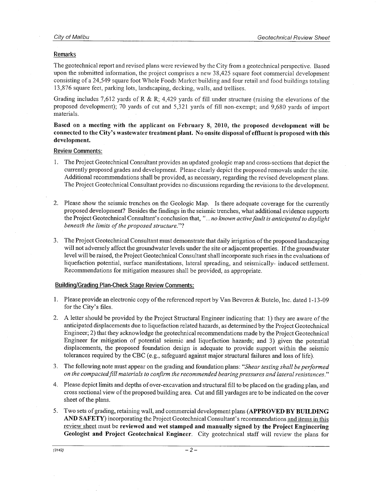#### Remarks

The geotechnical report and revised plans were reviewed by the City from a geotechnical perspective. Based upon the submitted information, the project comprises a new 38,425 square foot commercial development consisting of a 24,549 square foot Whole Foods Market building and four retail and food buildings totaling 13,876 square feet, parking lots, landscaping, decking, walls, and trellises.

Grading includes 7,612 yards of R & R; 4,429 yards of fill under structure (raising the elevations of the proposed development); 70 yards of cut and 5,321 yards of fill non-exempt; and 9,680 yards of import materials.

Based on a meeting with the applicant on February 8, 2010, the proposed development will be connected to the City's wastewater treatment plant. No onsite disposal of effluent is proposed with this development.

#### **Review Comments:**

- 1. The Project Geotechnical Consultant provides an updated geologic map and cross-sections that depict the currently proposed grades and development. Please clearly depict the proposed removals under the site. Additional recommendations shall be provided, as necessary, regarding the revised development plans. The Project Geotechnical Consultant provides no discussions regarding the revisions to the development.
- $2.$ Please show the seismic trenches on the Geologic Map. Is there adequate coverage for the currently proposed development? Besides the findings in the seismic trenches, what additional evidence supports the Project Geotechnical Consultant's conclusion that, "... no known active fault is anticipated to daylight beneath the limits of the proposed structure."?
- 3. The Project Geotechnical Consultant must demonstrate that daily irrigation of the proposed landscaping will not adversely affect the groundwater levels under the site or adjacent properties. If the groundwater level will be raised, the Project Geotechnical Consultant shall incorporate such rises in the evaluations of liquefaction potential, surface manifestations, lateral spreading, and seismically- induced settlement. Recommendations for mitigation measures shall be provided, as appropriate.

#### **Building/Grading Plan-Check Stage Review Comments:**

- 1. Please provide an electronic copy of the referenced report by Van Beveren & Butelo, Inc. dated 1-13-09 for the City's files.
- 2. A letter should be provided by the Project Structural Engineer indicating that: 1) they are aware of the anticipated displacements due to liquefaction related hazards, as determined by the Project Geotechnical Engineer; 2) that they acknowledge the geotechnical recommendations made by the Project Geotechnical Engineer for mitigation of potential seismic and liquefaction hazards; and 3) given the potential displacements, the proposed foundation design is adequate to provide support within the seismic tolerances required by the CBC (e.g., safeguard against major structural failures and loss of life).
- 3. The following note must appear on the grading and foundation plans: "Shear testing shall be performed on the compacted fill materials to confirm the recommended bearing pressures and lateral resistances."
- 4. Please depict limits and depths of over-excavation and structural fill to be placed on the grading plan, and cross sectional view of the proposed building area. Cut and fill yardages are to be indicated on the cover sheet of the plans.
- 5. Two sets of grading, retaining wall, and commercial development plans (APPROVED BY BUILDING AND SAFETY) incorporating the Project Geotechnical Consultant's recommendations and items in this review sheet must be reviewed and wet stamped and manually signed by the Project Engineering Geologist and Project Geotechnical Engineer. City geotechnical staff will review the plans for

 $-2-$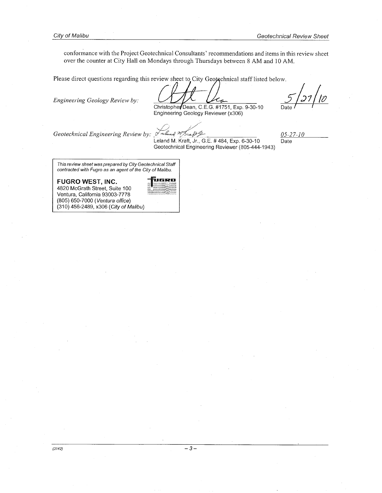conformance with the Project Geotechnical Consultants' recommendations and items in this review sheet over the counter at City Hall on Mondays through Thursdays between 8 AM and 10 AM.

Please direct questions regarding this review sheet to City Geotechnical staff listed below.

Engineering Geology Review by:

Christopher Dean, C.E.G. #1751, Exp. 9-30-10

10 Date

Engineering Geology Reviewer (x306)

Geotechnical Engineering Reviewer (805-444-1943)

Geotechnical Engineering Review by:

ra fr G  $\sqrt{a}$ Leland M. Kraft, Jr., G.E. #484, Exp. 6-30-10

 $05 - 27 - 10$ Date

This review sheet was prepared by City Geotechnical Staff contracted with Fugro as an agent of the City of Malibu.

FUGRO WEST, INC.

4820 McGrath Street, Suite 100 Ventura, California 93003-7778 (805) 650-7000 (Ventura office) (310) 456-2489, x306 (City of Malibu)